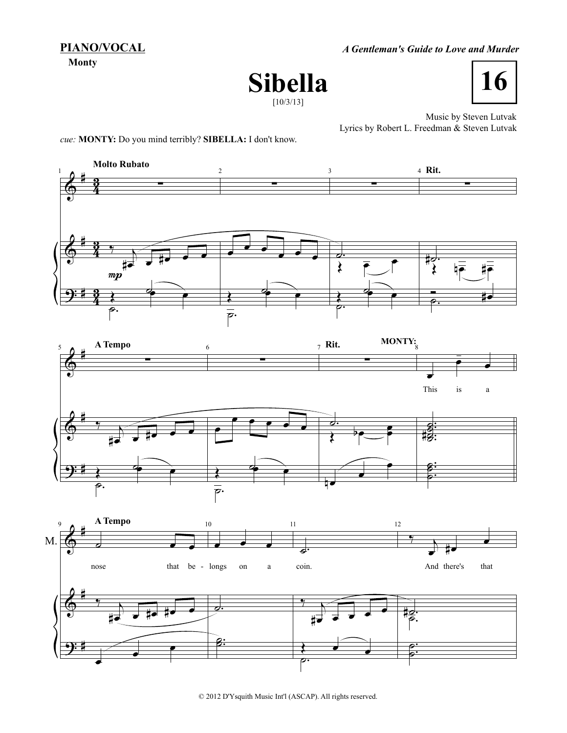**PIANO/VOCAL**

**Monty**

*A Gentleman's Guide to Love and Murder*





Music by Steven Lutvak Lyrics by Robert L. Freedman & Steven Lutvak

*cue:* **MONTY:** Do you mind terribly? **SIBELLA:** I don't know.





© 2012 D'Ysquith Music Int'l (ASCAP). All rights reserved.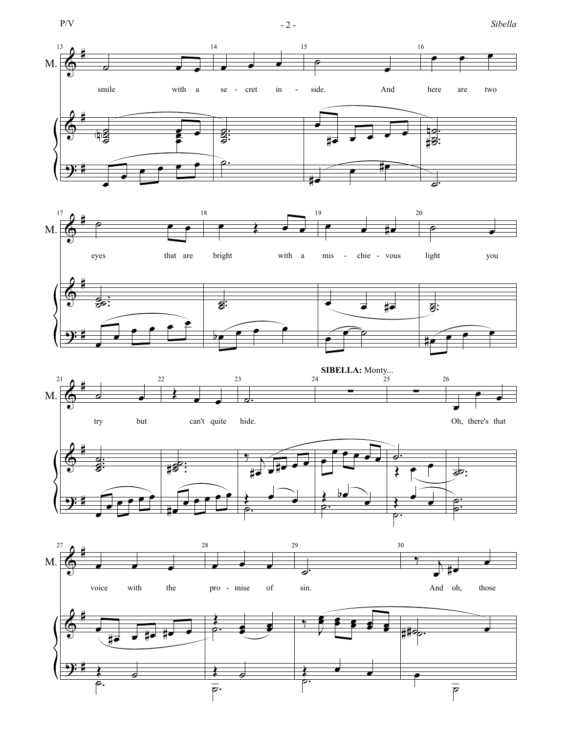$$
P/V
$$

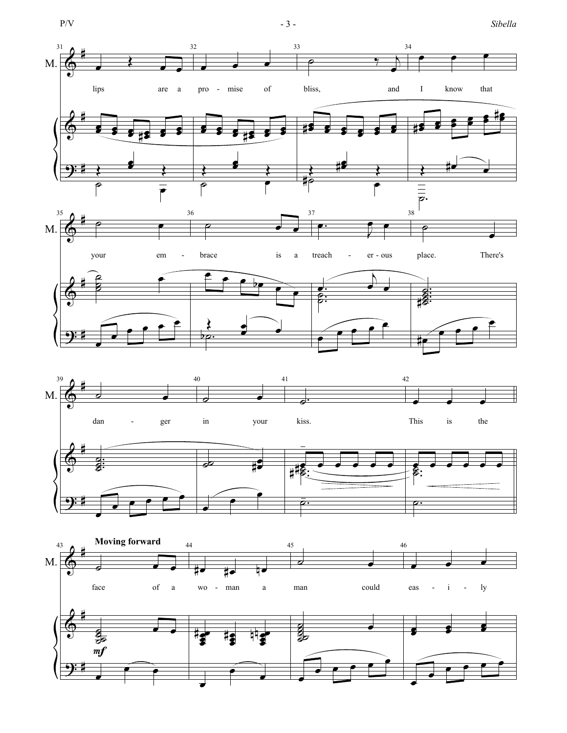

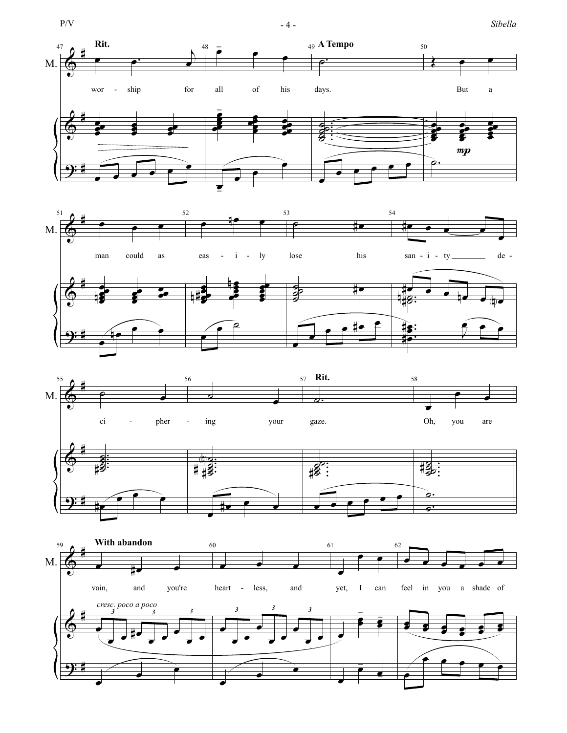









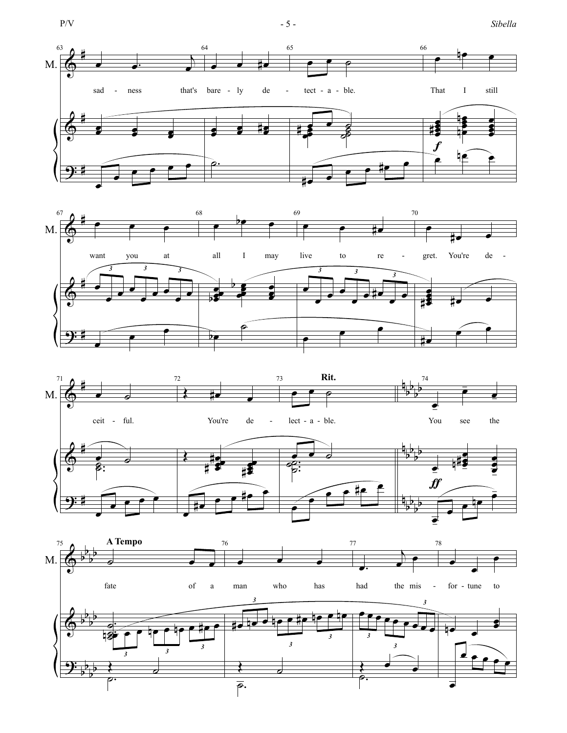







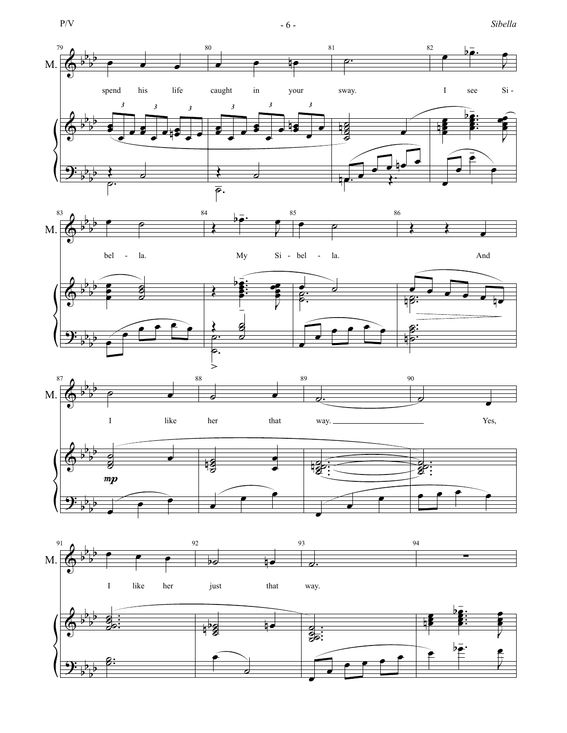$$
P/V\\
$$